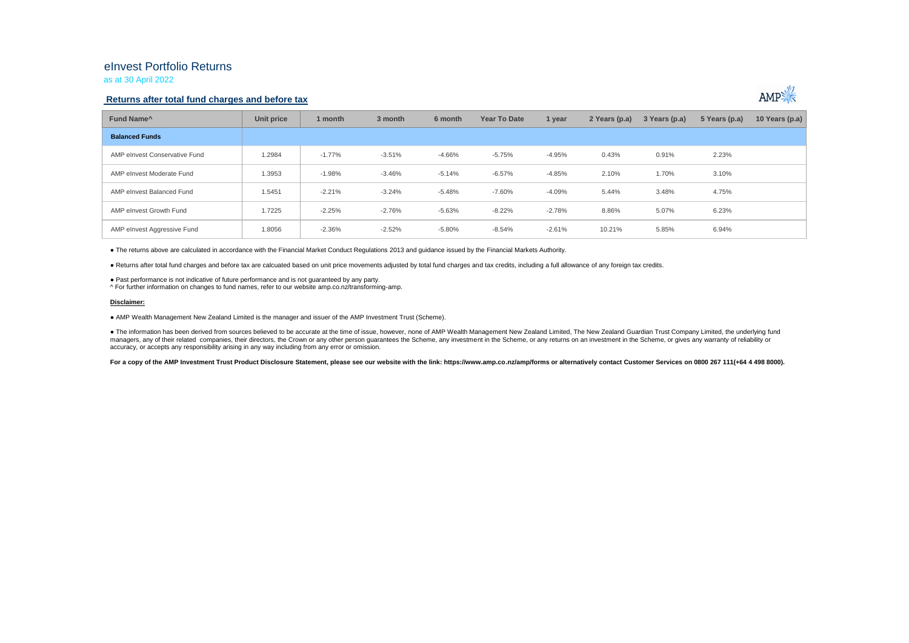## eInvest Portfolio Returns

as at 30 April 2022

### **Returns after total fund charges and before tax**



| Fund Name <sup>^</sup>        | Unit price | 1 month  | 3 month  | 6 month  | <b>Year To Date</b> | 1 year   | 2 Years (p.a) | 3 Years (p.a) | 5 Years (p.a) | 10 Years (p.a) |
|-------------------------------|------------|----------|----------|----------|---------------------|----------|---------------|---------------|---------------|----------------|
| <b>Balanced Funds</b>         |            |          |          |          |                     |          |               |               |               |                |
| AMP elnvest Conservative Fund | 1.2984     | $-1.77%$ | $-3.51%$ | -4.66%   | $-5.75%$            | $-4.95%$ | 0.43%         | 0.91%         | 2.23%         |                |
| AMP elnvest Moderate Fund     | 1.3953     | $-1.98%$ | $-3.46%$ | $-5.14%$ | $-6.57%$            | $-4.85%$ | 2.10%         | 1.70%         | 3.10%         |                |
| AMP elnvest Balanced Fund     | 1.5451     | $-2.21%$ | $-3.24%$ | $-5.48%$ | $-7.60%$            | $-4.09%$ | 5.44%         | 3.48%         | 4.75%         |                |
| AMP elnvest Growth Fund       | 1.7225     | $-2.25%$ | $-2.76%$ | $-5.63%$ | $-8.22%$            | $-2.78%$ | 8.86%         | 5.07%         | 6.23%         |                |
| AMP elnvest Aggressive Fund   | 1.8056     | $-2.36%$ | $-2.52%$ | $-5.80%$ | $-8.54%$            | $-2.61%$ | 10.21%        | 5.85%         | 6.94%         |                |

● The returns above are calculated in accordance with the Financial Market Conduct Regulations 2013 and guidance issued by the Financial Markets Authority.

● Returns after total fund charges and before tax are calcuated based on unit price movements adjusted by total fund charges and tax credits, including a full allowance of any foreign tax credits.

● Past performance is not indicative of future performance and is not guaranteed by any party.

^ For further information on changes to fund names, refer to our website amp.co.nz/transforming-amp.

#### **Disclaimer:**

● AMP Wealth Management New Zealand Limited is the manager and issuer of the AMP Investment Trust (Scheme).

● The information has been derived from sources believed to be accurate at the time of issue, however, none of AMP Wealth Management New Zealand Limited, The New Zealand Guardian Trust Company Limited, the underlying fund magers, any of their related companies, their directors, the Crown or any other person quarantees the Scheme, any investment in the Scheme, or any returns on an investment in the Scheme, or any returns on an investment in accuracy, or accepts any responsibility arising in any way including from any error or omission.

For a copy of the AMP Investment Trust Product Disclosure Statement, please see our website with the link: https://www.amp.co.nz/amp/forms or alternatively contact Customer Services on 0800 267 111(+64 4 498 8000).